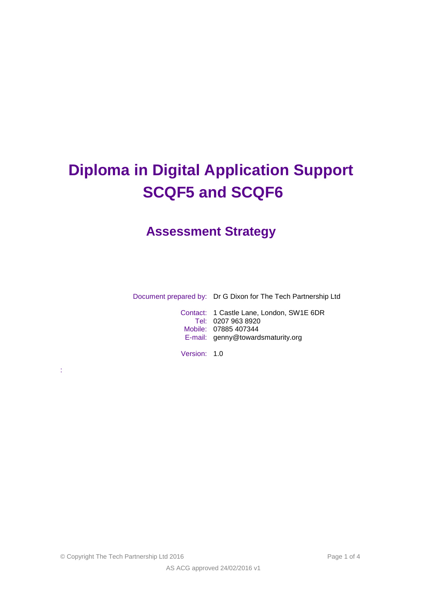# **Diploma in Digital Application Support SCQF5 and SCQF6**

# **Assessment Strategy**

Document prepared by: Dr G Dixon for The Tech Partnership Ltd

Contact: 1 Castle Lane, London, SW1E 6DR Tel: 0207 963 8920 Mobile: 07885 407344 E-mail: genny@towardsmaturity.org

Version: 1.0

© Copyright The Tech Partnership Ltd 2016 Page 1 of 4

: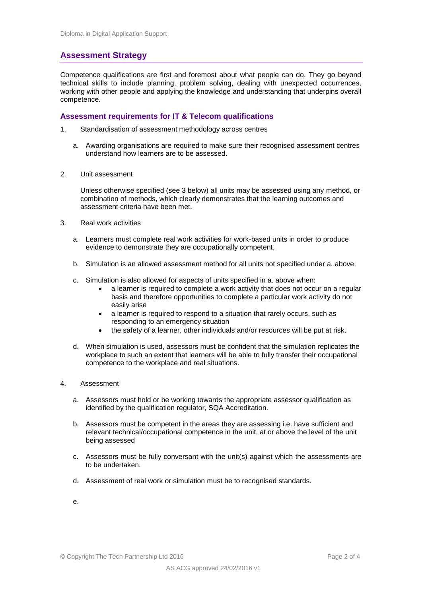## **Assessment Strategy**

Competence qualifications are first and foremost about what people can do. They go beyond technical skills to include planning, problem solving, dealing with unexpected occurrences, working with other people and applying the knowledge and understanding that underpins overall competence.

#### **Assessment requirements for IT & Telecom qualifications**

- 1. Standardisation of assessment methodology across centres
	- a. Awarding organisations are required to make sure their recognised assessment centres understand how learners are to be assessed.
- 2. Unit assessment

Unless otherwise specified (see 3 below) all units may be assessed using any method, or combination of methods, which clearly demonstrates that the learning outcomes and assessment criteria have been met.

- 3. Real work activities
	- a. Learners must complete real work activities for work-based units in order to produce evidence to demonstrate they are occupationally competent.
	- b. Simulation is an allowed assessment method for all units not specified under a. above.
	- c. Simulation is also allowed for aspects of units specified in a. above when:
		- a learner is required to complete a work activity that does not occur on a regular basis and therefore opportunities to complete a particular work activity do not easily arise
		- a learner is required to respond to a situation that rarely occurs, such as responding to an emergency situation
		- the safety of a learner, other individuals and/or resources will be put at risk.
	- d. When simulation is used, assessors must be confident that the simulation replicates the workplace to such an extent that learners will be able to fully transfer their occupational competence to the workplace and real situations.

#### 4. Assessment

- a. Assessors must hold or be working towards the appropriate assessor qualification as identified by the qualification regulator, SQA Accreditation.
- b. Assessors must be competent in the areas they are assessing i.e. have sufficient and relevant technical/occupational competence in the unit, at or above the level of the unit being assessed
- c. Assessors must be fully conversant with the unit(s) against which the assessments are to be undertaken.
- d. Assessment of real work or simulation must be to recognised standards.
- e.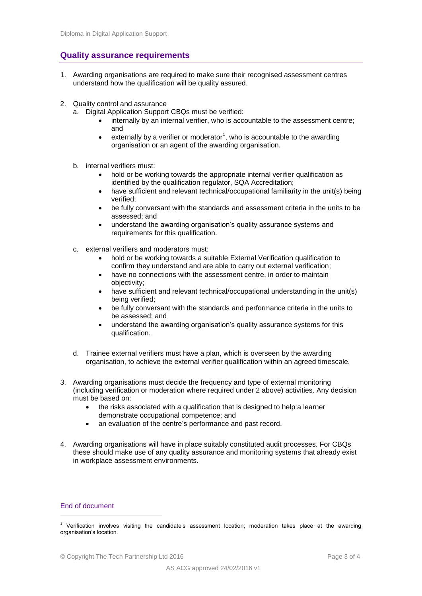### **Quality assurance requirements**

- 1. Awarding organisations are required to make sure their recognised assessment centres understand how the qualification will be quality assured.
- 2. Quality control and assurance
	- a. Digital Application Support CBQs must be verified:
		- internally by an internal verifier, who is accountable to the assessment centre; and
		- $\bullet$  externally by a verifier or moderator<sup>1</sup>, who is accountable to the awarding organisation or an agent of the awarding organisation.
	- b. internal verifiers must:
		- hold or be working towards the appropriate internal verifier qualification as identified by the qualification regulator, SQA Accreditation;
		- have sufficient and relevant technical/occupational familiarity in the unit(s) being verified;
		- be fully conversant with the standards and assessment criteria in the units to be assessed; and
		- understand the awarding organisation's quality assurance systems and requirements for this qualification.
	- c. external verifiers and moderators must:
		- hold or be working towards a suitable External Verification qualification to confirm they understand and are able to carry out external verification;
		- have no connections with the assessment centre, in order to maintain objectivity;
		- have sufficient and relevant technical/occupational understanding in the unit(s) being verified;
		- be fully conversant with the standards and performance criteria in the units to be assessed; and
		- understand the awarding organisation's quality assurance systems for this qualification.
	- d. Trainee external verifiers must have a plan, which is overseen by the awarding organisation, to achieve the external verifier qualification within an agreed timescale.
- 3. Awarding organisations must decide the frequency and type of external monitoring (including verification or moderation where required under 2 above) activities. Any decision must be based on:
	- the risks associated with a qualification that is designed to help a learner demonstrate occupational competence; and
	- an evaluation of the centre's performance and past record.
- 4. Awarding organisations will have in place suitably constituted audit processes. For CBQs these should make use of any quality assurance and monitoring systems that already exist in workplace assessment environments.

#### End of document

-

<sup>&</sup>lt;sup>1</sup> Verification involves visiting the candidate's assessment location; moderation takes place at the awarding organisation's location.